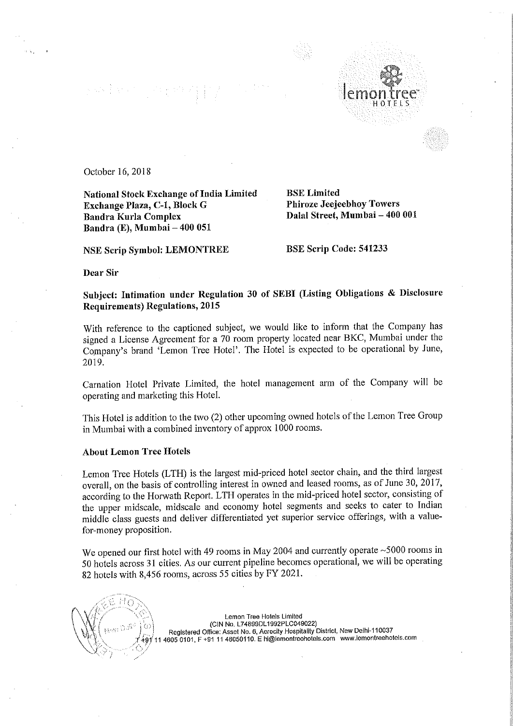## $\label{eq:2.1} \sum_{i=1}^n \left\langle \mathcal{H}_i^{\mathcal{A}} \right\rangle \overset{d}{\longrightarrow} \sum_{i=1}^n \left\langle \mathcal{H}_i^{\mathcal{A}} \right\rangle \overset{d}{\longrightarrow} \sum_{i=1}^n \left\langle \mathcal{H}_i^{\mathcal{A}} \right\rangle \overset{d}{\longrightarrow} \sum_{i=1}^n \left\langle \mathcal{H}_i^{\mathcal{A}} \right\rangle \overset{d}{\longrightarrow} \sum_{i=1}^n \left\langle \mathcal{H}_i^{\mathcal{A}} \right\rangle \overset{d}{\longrightarrow} \sum_{i=1}^n \left$



October 16, 2018

National Stock Exchange of India Limited<br>
Exchange Plaza, C-1, Block G<br>
Phiroze Jeejeebhoy Towers Exchange Plaza, C-1, Block G Bandra Kurla Complex Bandra (E), Mumbai — 400 051

NSE Scrip Symbol: LEMONTREE BSE Scrip Code: 541233

Dalal Street, Mumbai - 400 001

Dear Sir

Subject: Intimation under Regulation <sup>30</sup> of SEBI (Listing Obligations & Disclosure Requirements) Regulations, 2015

With reference to the captioned subject, we would like to inform that the Company has signed <sup>a</sup> License Agreement for <sup>a</sup> <sup>70</sup> room property located near BKC, Mumbai under the Company's brand 'Lemon Tree Hotel'. The Hotel is expected to be operational by June, 2019.

Carnation Hotel Private Limited, the hotel management arm of the Company will be operating and marketing this Hotel.

This Hotel is addition to the two (2) other upcoming owned hotels of the Lemon Tree Group in Mumbai with <sup>a</sup> combined inventory of approx <sup>1000</sup> rooms.

## About Lemon Tree Hotels

Lemon Tree Hotels (LTH) is the largest mid—priced hotel sector chain, and the third largest overall, on the basis of controlling interest in owned and leased rooms, as of June 30, 2017, according to the Horwath Report. LTH operates in the mid-priced hotel sector, consisting of the upper midscale, midscale and economy hotel segments and seeks to cater to Indian middle class guests and deliver differentiated yet superior service offerings, with <sup>a</sup> valuefor—money proposition.

We opened our first hotel with 49 rooms in May 2004 and currently operate ~5000 rooms in <sup>50</sup> hotels across <sup>31</sup> cities. As our current pipeline becomes operational, we will be operating <sup>82</sup> hotels with 8,456 rooms, across <sup>55</sup> cities by FY 2021.

'

Lemon Tree Hotels Limited (CIN No. L74899DL1992PLCO49022) <sup>I</sup> Registered Office: Asset Not 6, Aerocity Hospitality District, New Delhi—110037 4605 0101, F +91 11 46050110. E hi@lemontreehotels.com www.lemontreehotels.com